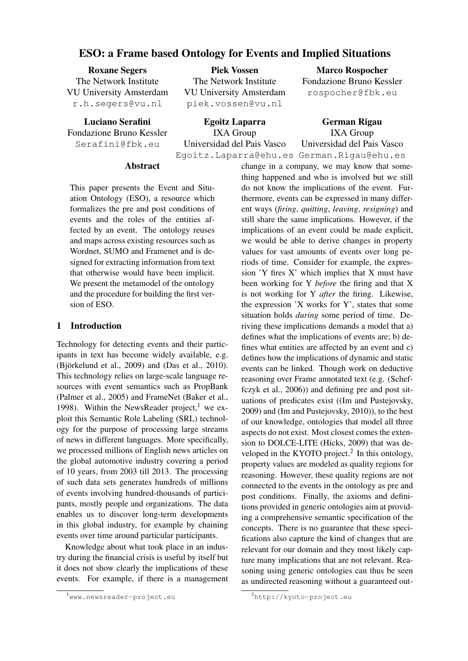# ESO: a Frame based Ontology for Events and Implied Situations

Roxane Segers The Network Institute VU University Amsterdam r.h.segers@vu.nl

Luciano Serafini Fondazione Bruno Kessler Serafini@fbk.eu

Piek Vossen The Network Institute VU University Amsterdam piek.vossen@vu.nl

Egoitz Laparra IXA Group Universidad del Pais Vasco Egoitz.Laparra@ehu.es German.Rigau@ehu.es

Marco Rospocher Fondazione Bruno Kessler rospocher@fbk.eu

German Rigau IXA Group Universidad del Pais Vasco

#### Abstract

This paper presents the Event and Situation Ontology (ESO), a resource which formalizes the pre and post conditions of events and the roles of the entities affected by an event. The ontology reuses and maps across existing resources such as Wordnet, SUMO and Framenet and is designed for extracting information from text that otherwise would have been implicit. We present the metamodel of the ontology and the procedure for building the first version of ESO.

### 1 Introduction

Technology for detecting events and their participants in text has become widely available, e.g.  $(Björkelund et al., 2009)$  and  $(Das et al., 2010)$ . This technology relies on large-scale language resources with event semantics such as PropBank (Palmer et al., 2005) and FrameNet (Baker et al., 1998). Within the NewsReader project,<sup>1</sup> we exploit this Semantic Role Labeling (SRL) technology for the purpose of processing large streams of news in different languages. More specifically, we processed millions of English news articles on the global automotive industry covering a period of 10 years, from 2003 till 2013. The processing of such data sets generates hundreds of millions of events involving hundred-thousands of participants, mostly people and organizations. The data enables us to discover long-term developments in this global industry, for example by chaining events over time around particular participants.

Knowledge about what took place in an industry during the financial crisis is useful by itself but it does not show clearly the implications of these events. For example, if there is a management change in a company, we may know that something happened and who is involved but we still do not know the implications of the event. Furthermore, events can be expressed in many different ways (*firing*, *quitting*, *leaving*, *resigning*) and still share the same implications. However, if the implications of an event could be made explicit, we would be able to derive changes in property values for vast amounts of events over long periods of time. Consider for example, the expression 'Y fires X' which implies that X must have been working for Y *before* the firing and that X is not working for Y *after* the firing. Likewise, the expression 'X works for Y', states that some situation holds *during* some period of time. Deriving these implications demands a model that a) defines what the implications of events are; b) defines what entities are affected by an event and c) defines how the implications of dynamic and static events can be linked. Though work on deductive reasoning over Frame annotated text (e.g. (Scheffczyk et al., 2006)) and defining pre and post situations of predicates exist ((Im and Pustejovsky, 2009) and (Im and Pustejovsky, 2010)), to the best of our knowledge, ontologies that model all three aspects do not exist. Most closest comes the extension to DOLCE-LITE (Hicks, 2009) that was developed in the KYOTO project.<sup>2</sup> In this ontology, property values are modeled as quality regions for reasoning. However, these quality regions are not connected to the events in the ontology as pre and post conditions. Finally, the axioms and definitions provided in generic ontologies aim at providing a comprehensive semantic specification of the concepts. There is no guarantee that these specifications also capture the kind of changes that are relevant for our domain and they most likely capture many implications that are not relevant. Reasoning using generic ontologies can thus be seen as undirected reasoning without a guaranteed out-

<sup>1</sup>www.newsreader-project.eu

<sup>2</sup>http://kyoto-project.eu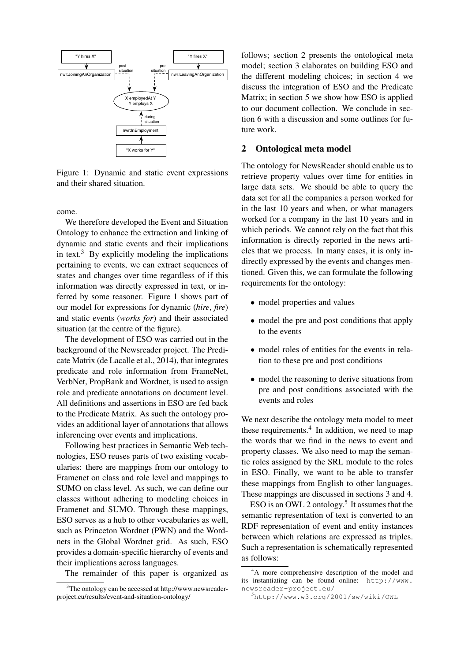

Figure 1: Dynamic and static event expressions and their shared situation.

come.

We therefore developed the Event and Situation Ontology to enhance the extraction and linking of dynamic and static events and their implications in text.<sup>3</sup> By explicitly modeling the implications pertaining to events, we can extract sequences of states and changes over time regardless of if this information was directly expressed in text, or inferred by some reasoner. Figure 1 shows part of our model for expressions for dynamic (*hire*, *fire*) and static events (*works for*) and their associated situation (at the centre of the figure).

The development of ESO was carried out in the background of the Newsreader project. The Predicate Matrix (de Lacalle et al., 2014), that integrates predicate and role information from FrameNet, VerbNet, PropBank and Wordnet, is used to assign role and predicate annotations on document level. All definitions and assertions in ESO are fed back to the Predicate Matrix. As such the ontology provides an additional layer of annotations that allows inferencing over events and implications.

Following best practices in Semantic Web technologies, ESO reuses parts of two existing vocabularies: there are mappings from our ontology to Framenet on class and role level and mappings to SUMO on class level. As such, we can define our classes without adhering to modeling choices in Framenet and SUMO. Through these mappings, ESO serves as a hub to other vocabularies as well, such as Princeton Wordnet (PWN) and the Wordnets in the Global Wordnet grid. As such, ESO provides a domain-specific hierarchy of events and their implications across languages.

The remainder of this paper is organized as

follows; section 2 presents the ontological meta model; section 3 elaborates on building ESO and the different modeling choices; in section 4 we discuss the integration of ESO and the Predicate Matrix; in section 5 we show how ESO is applied to our document collection. We conclude in section 6 with a discussion and some outlines for future work.

#### 2 Ontological meta model

The ontology for NewsReader should enable us to retrieve property values over time for entities in large data sets. We should be able to query the data set for all the companies a person worked for in the last 10 years and when, or what managers worked for a company in the last 10 years and in which periods. We cannot rely on the fact that this information is directly reported in the news articles that we process. In many cases, it is only indirectly expressed by the events and changes mentioned. Given this, we can formulate the following requirements for the ontology:

- model properties and values
- model the pre and post conditions that apply to the events
- model roles of entities for the events in relation to these pre and post conditions
- model the reasoning to derive situations from pre and post conditions associated with the events and roles

We next describe the ontology meta model to meet these requirements. $4$  In addition, we need to map the words that we find in the news to event and property classes. We also need to map the semantic roles assigned by the SRL module to the roles in ESO. Finally, we want to be able to transfer these mappings from English to other languages. These mappings are discussed in sections 3 and 4.

ESO is an OWL 2 ontology.<sup>5</sup> It assumes that the semantic representation of text is converted to an RDF representation of event and entity instances between which relations are expressed as triples. Such a representation is schematically represented as follows:

 $3$ The ontology can be accessed at http://www.newsreaderproject.eu/results/event-and-situation-ontology/

<sup>&</sup>lt;sup>4</sup>A more comprehensive description of the model and its instantiating can be found online: http://www. newsreader-project.eu/

<sup>5</sup>http://www.w3.org/2001/sw/wiki/OWL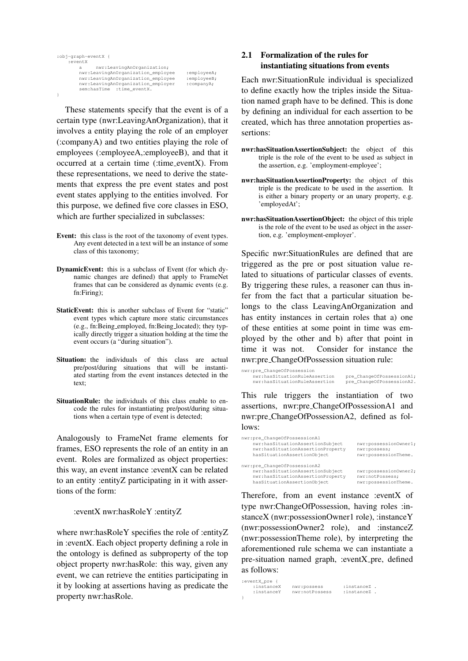```
:obj-graph-eventX {
     :eventX
                    a nwr:LeavingAnOrganization;
           nwr:LeavingAnOrganization_employee :employeeA;<br>nwr:LeavingAnOrganization_employee :employeeB;
           nwr:LeavingAnOrganization_employee :employeeB<br>nwr:LeavingAnOrganization_employer :companyA;
           nwr:LeavingAnOrganization_employer
           sem:hasTime_:time_eventX.
}
```
These statements specify that the event is of a certain type (nwr:LeavingAnOrganization), that it involves a entity playing the role of an employer (:companyA) and two entities playing the role of employees (:employeeA,:employeeB), and that it occurred at a certain time (:time eventX). From these representations, we need to derive the statements that express the pre event states and post event states applying to the entities involved. For this purpose, we defined five core classes in ESO, which are further specialized in subclasses:

- Event: this class is the root of the taxonomy of event types. Any event detected in a text will be an instance of some class of this taxonomy;
- DynamicEvent: this is a subclass of Event (for which dynamic changes are defined) that apply to FrameNet frames that can be considered as dynamic events (e.g. fn:Firing);
- StaticEvent: this is another subclass of Event for "static" event types which capture more static circumstances (e.g., fn:Being employed, fn:Being located); they typically directly trigger a situation holding at the time the event occurs (a "during situation").
- Situation: the individuals of this class are actual pre/post/during situations that will be instantiated starting from the event instances detected in the text;
- SituationRule: the individuals of this class enable to encode the rules for instantiating pre/post/during situations when a certain type of event is detected;

Analogously to FrameNet frame elements for frames, ESO represents the role of an entity in an event. Roles are formalized as object properties: this way, an event instance :eventX can be related to an entity :entityZ participating in it with assertions of the form:

#### :eventX nwr:hasRoleY :entityZ

where nwr:hasRoleY specifies the role of :entityZ in :eventX. Each object property defining a role in the ontology is defined as subproperty of the top object property nwr:hasRole: this way, given any event, we can retrieve the entities participating in it by looking at assertions having as predicate the property nwr:hasRole.

## 2.1 Formalization of the rules for instantiating situations from events

Each nwr:SituationRule individual is specialized to define exactly how the triples inside the Situation named graph have to be defined. This is done by defining an individual for each assertion to be created, which has three annotation properties assertions:

- nwr:hasSituationAssertionSubject: the object of this triple is the role of the event to be used as subject in the assertion, e.g. 'employment-employee';
- nwr:hasSituationAssertionProperty: the object of this triple is the predicate to be used in the assertion. It is either a binary property or an unary property, e.g. 'employedAt';
- nwr:hasSituationAssertionObject: the object of this triple is the role of the event to be used as object in the assertion, e.g. 'employment-employer'.

Specific nwr:SituationRules are defined that are triggered as the pre or post situation value related to situations of particular classes of events. By triggering these rules, a reasoner can thus infer from the fact that a particular situation belongs to the class LeavingAnOrganization and has entity instances in certain roles that a) one of these entities at some point in time was employed by the other and b) after that point in time it was not. Consider for instance the nwr:pre ChangeOfPossession situation rule:

nwr:pre\_ChangeOfPossession pre\_ChangeOfPossessionA1; nwr:hasSituationRuleAssertion pre\_ChangeOfPossessionA2.

This rule triggers the instantiation of two assertions, nwr:pre ChangeOfPossessionA1 and nwr:pre ChangeOfPossessionA2, defined as follows:

nwr:pre\_ChangeOfPossessionA1 nwr:hasSituationAssertionSubject nwr:possessionOwner1;<br>nwr:hasSituationAssertionProperty nwr:possess; nwr:hasSituationAssertionProperty nwr:possess;<br>hasSituationAssertionObject nwr:possessionTheme. hasSituationAssertionObject nwr:pre\_ChangeOfPossessionA2 nwr:hasSituationAssertionSubject nwr:possessionOwner2; nwr:hasSituationAssertionProperty nwr:notPossess; hasSituationAssertionObject nwr:possessionTheme.

Therefore, from an event instance :eventX of type nwr:ChangeOfPossession, having roles :instanceX (nwr:possessionOwner1 role), :instanceY (nwr:possessionOwner2 role), and :instanceZ (nwr:possessionTheme role), by interpreting the aforementioned rule schema we can instantiate a pre-situation named graph, :eventX pre, defined as follows:

:eventX\_pre { :instanceX nwr:possess :instanceZ . :instanceY nwr:notPossess :instanceZ . }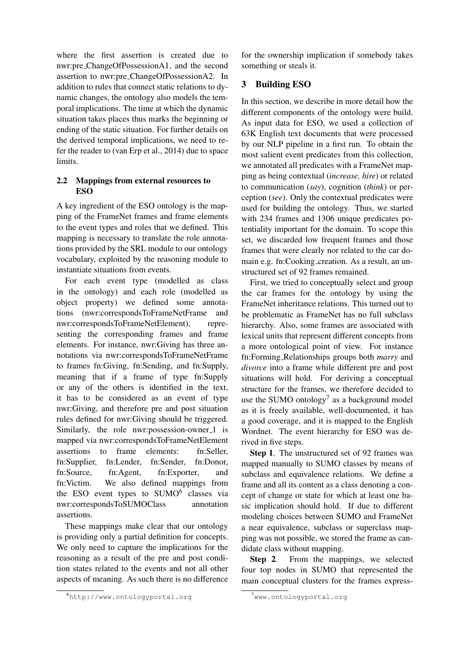where the first assertion is created due to nwr:pre ChangeOfPossessionA1, and the second assertion to nwr:pre ChangeOfPossessionA2. In addition to rules that connect static relations to dynamic changes, the ontology also models the temporal implications. The time at which the dynamic situation takes places thus marks the beginning or ending of the static situation. For further details on the derived temporal implications, we need to refer the reader to (van Erp et al., 2014) due to space limits.

# 2.2 Mappings from external resources to ESO

A key ingredient of the ESO ontology is the mapping of the FrameNet frames and frame elements to the event types and roles that we defined. This mapping is necessary to translate the role annotations provided by the SRL module to our ontology vocabulary, exploited by the reasoning module to instantiate situations from events.

For each event type (modelled as class in the ontology) and each role (modelled as object property) we defined some annotations (nwr:correspondsToFrameNetFrame and nwr:correspondsToFrameNetElement), representing the corresponding frames and frame elements. For instance, nwr:Giving has three annotations via nwr:correspondsToFrameNetFrame to frames fn:Giving, fn:Sending, and fn:Supply, meaning that if a frame of type fn:Supply or any of the others is identified in the text, it has to be considered as an event of type nwr:Giving, and therefore pre and post situation rules defined for nwr:Giving should be triggered. Similarly, the role nwr: possession-owner\_1 is mapped via nwr:correspondsToFrameNetElement assertions to frame elements: fn:Seller, fn:Supplier, fn:Lender, fn:Sender, fn:Donor, fn:Source, fn:Agent, fn:Exporter, and fn:Victim. We also defined mappings from the ESO event types to SUMO<sup>6</sup> classes via nwr:correspondsToSUMOClass annotation assertions.

These mappings make clear that our ontology is providing only a partial definition for concepts. We only need to capture the implications for the reasoning as a result of the pre and post condition states related to the events and not all other aspects of meaning. As such there is no difference

for the ownership implication if somebody takes something or steals it.

# 3 Building ESO

In this section, we describe in more detail how the different components of the ontology were build. As input data for ESO, we used a collection of 63K English text documents that were processed by our NLP pipeline in a first run. To obtain the most salient event predicates from this collection, we annotated all predicates with a FrameNet mapping as being contextual (*increase, hire*) or related to communication (*say*), cognition (*think*) or perception (*see*). Only the contextual predicates were used for building the ontology. Thus, we started with 234 frames and 1306 unique predicates potentiality important for the domain. To scope this set, we discarded low frequent frames and those frames that were clearly nor related to the car domain e.g. fn:Cooking creation. As a result, an unstructured set of 92 frames remained.

First, we tried to conceptually select and group the car frames for the ontology by using the FrameNet inheritance relations. This turned out to be problematic as FrameNet has no full subclass hierarchy. Also, some frames are associated with lexical units that represent different concepts from a more ontological point of view. For instance fn:Forming Relationships groups both *marry* and *divorce* into a frame while different pre and post situations will hold. For deriving a conceptual structure for the frames, we therefore decided to use the SUMO ontology<sup>7</sup> as a background model as it is freely available, well-documented, it has a good coverage, and it is mapped to the English Wordnet. The event hierarchy for ESO was derived in five steps.

Step 1. The unstructured set of 92 frames was mapped manually to SUMO classes by means of subclass and equivalence relations. We define a frame and all its content as a class denoting a concept of change or state for which at least one basic implication should hold. If due to different modeling choices between SUMO and FrameNet a near equivalence, subclass or superclass mapping was not possible, we stored the frame as candidate class without mapping.

Step 2. From the mappings, we selected four top nodes in SUMO that represented the main conceptual clusters for the frames express-

<sup>6</sup>http://www.ontologyportal.org

 $7$ www.ontologyportal.org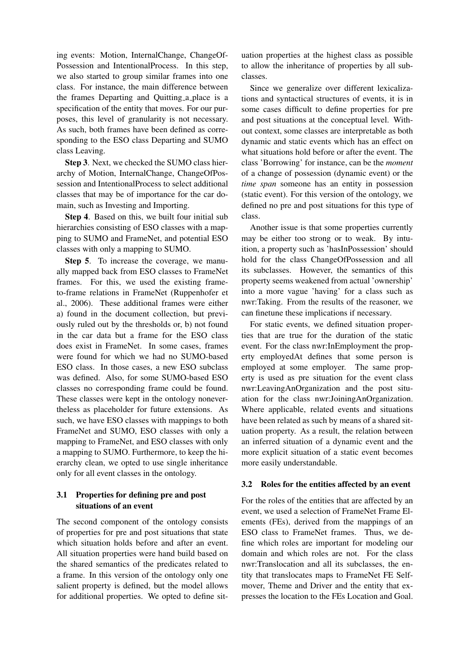ing events: Motion, InternalChange, ChangeOf-Possession and IntentionalProcess. In this step, we also started to group similar frames into one class. For instance, the main difference between the frames Departing and Quitting a place is a specification of the entity that moves. For our purposes, this level of granularity is not necessary. As such, both frames have been defined as corresponding to the ESO class Departing and SUMO class Leaving.

Step 3. Next, we checked the SUMO class hierarchy of Motion, InternalChange, ChangeOfPossession and IntentionalProcess to select additional classes that may be of importance for the car domain, such as Investing and Importing.

Step 4. Based on this, we built four initial sub hierarchies consisting of ESO classes with a mapping to SUMO and FrameNet, and potential ESO classes with only a mapping to SUMO.

Step 5. To increase the coverage, we manually mapped back from ESO classes to FrameNet frames. For this, we used the existing frameto-frame relations in FrameNet (Ruppenhofer et al., 2006). These additional frames were either a) found in the document collection, but previously ruled out by the thresholds or, b) not found in the car data but a frame for the ESO class does exist in FrameNet. In some cases, frames were found for which we had no SUMO-based ESO class. In those cases, a new ESO subclass was defined. Also, for some SUMO-based ESO classes no corresponding frame could be found. These classes were kept in the ontology nonevertheless as placeholder for future extensions. As such, we have ESO classes with mappings to both FrameNet and SUMO, ESO classes with only a mapping to FrameNet, and ESO classes with only a mapping to SUMO. Furthermore, to keep the hierarchy clean, we opted to use single inheritance only for all event classes in the ontology.

# 3.1 Properties for defining pre and post situations of an event

The second component of the ontology consists of properties for pre and post situations that state which situation holds before and after an event. All situation properties were hand build based on the shared semantics of the predicates related to a frame. In this version of the ontology only one salient property is defined, but the model allows for additional properties. We opted to define situation properties at the highest class as possible to allow the inheritance of properties by all subclasses.

Since we generalize over different lexicalizations and syntactical structures of events, it is in some cases difficult to define properties for pre and post situations at the conceptual level. Without context, some classes are interpretable as both dynamic and static events which has an effect on what situations hold before or after the event. The class 'Borrowing' for instance, can be the *moment* of a change of possession (dynamic event) or the *time span* someone has an entity in possession (static event). For this version of the ontology, we defined no pre and post situations for this type of class.

Another issue is that some properties currently may be either too strong or to weak. By intuition, a property such as 'hasInPossession' should hold for the class ChangeOfPossession and all its subclasses. However, the semantics of this property seems weakened from actual 'ownership' into a more vague 'having' for a class such as nwr:Taking. From the results of the reasoner, we can finetune these implications if necessary.

For static events, we defined situation properties that are true for the duration of the static event. For the class nwr:InEmployment the property employedAt defines that some person is employed at some employer. The same property is used as pre situation for the event class nwr:LeavingAnOrganization and the post situation for the class nwr:JoiningAnOrganization. Where applicable, related events and situations have been related as such by means of a shared situation property. As a result, the relation between an inferred situation of a dynamic event and the more explicit situation of a static event becomes more easily understandable.

#### 3.2 Roles for the entities affected by an event

For the roles of the entities that are affected by an event, we used a selection of FrameNet Frame Elements (FEs), derived from the mappings of an ESO class to FrameNet frames. Thus, we define which roles are important for modeling our domain and which roles are not. For the class nwr:Translocation and all its subclasses, the entity that translocates maps to FrameNet FE Selfmover, Theme and Driver and the entity that expresses the location to the FEs Location and Goal.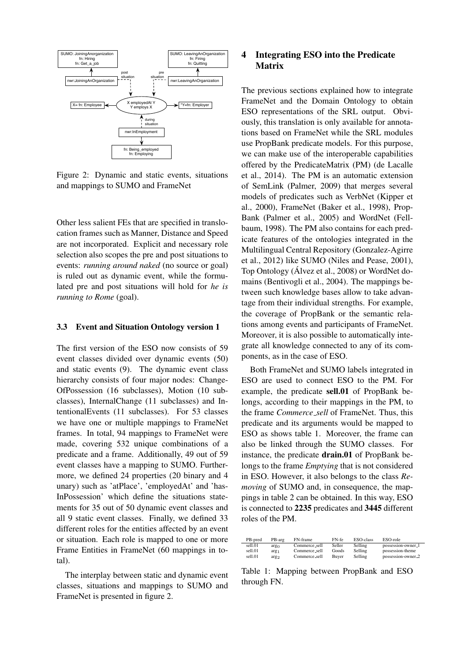

Figure 2: Dynamic and static events, situations and mappings to SUMO and FrameNet

Other less salient FEs that are specified in translocation frames such as Manner, Distance and Speed are not incorporated. Explicit and necessary role selection also scopes the pre and post situations to events: *running around naked* (no source or goal) is ruled out as dynamic event, while the formulated pre and post situations will hold for *he is running to Rome* (goal).

#### 3.3 Event and Situation Ontology version 1

The first version of the ESO now consists of 59 event classes divided over dynamic events (50) and static events (9). The dynamic event class hierarchy consists of four major nodes: Change-OfPossession (16 subclasses), Motion (10 subclasses), InternalChange (11 subclasses) and IntentionalEvents (11 subclasses). For 53 classes we have one or multiple mappings to FrameNet frames. In total, 94 mappings to FrameNet were made, covering 532 unique combinations of a predicate and a frame. Additionally, 49 out of 59 event classes have a mapping to SUMO. Furthermore, we defined 24 properties (20 binary and 4 unary) such as 'atPlace', 'employedAt' and 'has-InPossession' which define the situations statements for 35 out of 50 dynamic event classes and all 9 static event classes. Finally, we defined 33 different roles for the entities affected by an event or situation. Each role is mapped to one or more Frame Entities in FrameNet (60 mappings in total).

The interplay between static and dynamic event classes, situations and mappings to SUMO and FrameNet is presented in figure 2.

# 4 Integrating ESO into the Predicate Matrix

The previous sections explained how to integrate FrameNet and the Domain Ontology to obtain ESO representations of the SRL output. Obviously, this translation is only available for annotations based on FrameNet while the SRL modules use PropBank predicate models. For this purpose, we can make use of the interoperable capabilities offered by the PredicateMatrix (PM) (de Lacalle et al., 2014). The PM is an automatic extension of SemLink (Palmer, 2009) that merges several models of predicates such as VerbNet (Kipper et al., 2000), FrameNet (Baker et al., 1998), Prop-Bank (Palmer et al., 2005) and WordNet (Fellbaum, 1998). The PM also contains for each predicate features of the ontologies integrated in the Multilingual Central Repository (Gonzalez-Agirre et al., 2012) like SUMO (Niles and Pease, 2001), Top Ontology (Álvez et al., 2008) or WordNet domains (Bentivogli et al., 2004). The mappings between such knowledge bases allow to take advantage from their individual strengths. For example, the coverage of PropBank or the semantic relations among events and participants of FrameNet. Moreover, it is also possible to automatically integrate all knowledge connected to any of its components, as in the case of ESO.

Both FrameNet and SUMO labels integrated in ESO are used to connect ESO to the PM. For example, the predicate sell.01 of PropBank belongs, according to their mappings in the PM, to the frame *Commerce sell* of FrameNet. Thus, this predicate and its arguments would be mapped to ESO as shows table 1. Moreover, the frame can also be linked through the SUMO classes. For instance, the predicate drain.01 of PropBank belongs to the frame *Emptying* that is not considered in ESO. However, it also belongs to the class *Removing* of SUMO and, in consequence, the mappings in table 2 can be obtained. In this way, ESO is connected to 2235 predicates and 3445 different roles of the PM.

| PB-pred | PB-arg           | FN-frame      | FN-fe  | ESO-class | ESO-role           |
|---------|------------------|---------------|--------|-----------|--------------------|
| sell.01 | arg <sub>0</sub> | Commerce_sell | Seller | Selling   | possession-owner_1 |
| sell.01 | arg <sub>1</sub> | Commerce_sell | Goods  | Selling   | possession-theme   |
| sell.01 | arg <sub>2</sub> | Commerce_sell | Buver  | Selling   | possession-owner_2 |

Table 1: Mapping between PropBank and ESO through FN.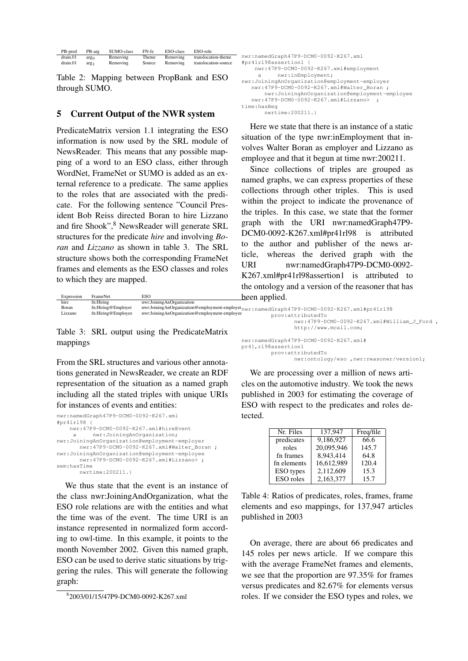| PB-pred  | PB-arg           | SUMO-class | FN-fe  | ESO-class | ESO-role             |
|----------|------------------|------------|--------|-----------|----------------------|
| drain.01 | arg <sub>0</sub> | Removing   | Theme  | Removing  | translocation-theme  |
| drain.01 | arg <sub>1</sub> | Removing   | Source | Removing  | translocation-source |

Table 2: Mapping between PropBank and ESO through SUMO.

### 5 Current Output of the NWR system

PredicateMatrix version 1.1 integrating the ESO information is now used by the SRL module of NewsReader. This means that any possible mapping of a word to an ESO class, either through WordNet, FrameNet or SUMO is added as an external reference to a predicate. The same applies to the roles that are associated with the predicate. For the following sentence "Council President Bob Reiss directed Boran to hire Lizzano and fire Shook", <sup>8</sup> NewsReader will generate SRL structures for the predicate *hire* and involving *Boran* and *Lizzano* as shown in table 3. The SRL structure shows both the corresponding FrameNet frames and elements as the ESO classes and roles to which they are mapped.

```
nwr:namedGraph47P9-DCM0-0092-K267.xml
  #pr41rl98assertion1 {
     nwr:47P9-DCM0-0092-K267.xml#employment
       a nwr:inEmployment;
  nwr:JoiningAnOrganization@employment-employer
    nwr:47P9-DCM0-0092-K267.xml#Walter_Boran ;
        nwr:JoiningAnOrganization@employment-employee
    nwr:47P9-DCM0-0092-K267.xml#Lizzano> ;
  time:hasBeg
        nwrtime:200211.}
```
Here we state that there is an instance of a static situation of the type nwr:inEmployment that involves Walter Boran as employer and Lizzano as employee and that it begun at time nwr:200211.

Since collections of triples are grouped as named graphs, we can express properties of these collections through other triples. This is used within the project to indicate the provenance of the triples. In this case, we state that the former graph with the URI nwr:namedGraph47P9- DCM0-0092-K267.xml#pr41rl98 is attributed to the author and publisher of the news article, whereas the derived graph with the URI nwr:namedGraph47P9-DCM0-0092-K267.xml#pr41rl98assertion1 is attributed to the ontology and a version of the reasoner that has been applied.

| Expression | FrameNet           | ESO                                           | been applied.                                                                                 |
|------------|--------------------|-----------------------------------------------|-----------------------------------------------------------------------------------------------|
| hire       | fn:Hiring          | nwr:JoiningAnOrganization                     |                                                                                               |
| Boran      | fn:Hiring@Employer |                                               | nwrJoiningAnOrganization@employment-employernwr:namedGraph47P9-DCM0-0092-K267.xml#pr41r198    |
| Lizzano    | fn:Hiring@Employee | nwr:JoiningAnOrganization@employment-employee | prov:attributedTo                                                                             |
|            |                    |                                               | nwr:47P9-DCM0-0092-K267.xml#William J Ford,                                                   |
|            |                    | Table 3: SRL output using the PredicateMatrix | http://www.mcall.com;                                                                         |
| mappings   |                    |                                               | nwr:namedGraph47P9-DCM0-0092-K267.xml#<br>$m/1$ $r$ <sup>108</sup> aeee $r$ tion <sup>1</sup> |

From the SRL structures and various other annotations generated in NewsReader, we create an RDF representation of the situation as a named graph including all the stated triples with unique URIs for instances of events and entities:

```
nwr:namedGraph47P9-DCM0-0092-K267.xml
#pr41rl98 {
   nwr:47P9-DCM0-0092-K267.xml#hireEvent
    a nwr:JoiningAnOrganization;
nwr:JoiningAnOrganization@employment-employer
      nwr:47P9-DCM0-0092-K267.xml#Walter_Boran ;
nwr:JoiningAnOrganization@employment-employee
      nwr:47P9-DCM0-0092-K267.xml#Lizzano> ;
sem:hasTime
       nwrtime:200211.}
```
We thus state that the event is an instance of the class nwr:JoiningAndOrganization, what the ESO role relations are with the entities and what the time was of the event. The time URI is an instance represented in normalized form according to owl-time. In this example, it points to the month November 2002. Given this named graph, ESO can be used to derive static situations by triggering the rules. This will generate the following graph:

pr41,rl98assertion1 prov:attributedTo nwr:ontology/eso ,nwr:reasoner/version1;

We are processing over a million of news articles on the automotive industry. We took the news published in 2003 for estimating the coverage of ESO with respect to the predicates and roles detected.

| Nr. Files        | 137.947    | Freq/file |
|------------------|------------|-----------|
| predicates       | 9.186.927  | 66.6      |
| roles            | 20,095,946 | 145.7     |
| fn frames        | 8.943.414  | 64.8      |
| fn elements      | 16,612,989 | 120.4     |
| <b>ESO</b> types | 2,112,609  | 15.3      |
| ESO roles        | 2,163,377  | 15.7      |

Table 4: Ratios of predicates, roles, frames, frame elements and eso mappings, for 137,947 articles published in 2003

On average, there are about 66 predicates and 145 roles per news article. If we compare this with the average FrameNet frames and elements, we see that the proportion are 97.35% for frames versus predicates and 82.67% for elements versus roles. If we consider the ESO types and roles, we

<sup>8</sup> 2003/01/15/47P9-DCM0-0092-K267.xml